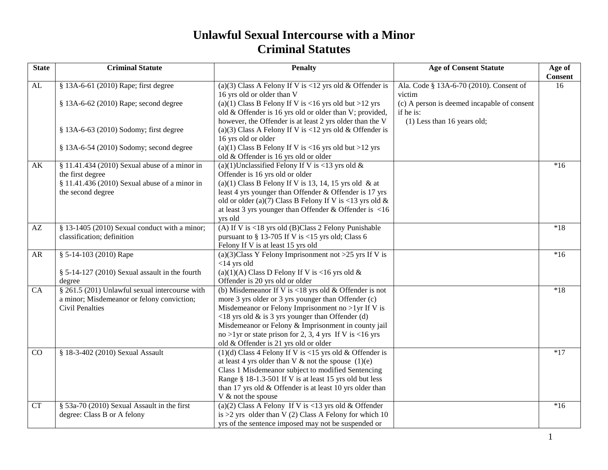## **Unlawful Sexual Intercourse with a Minor Criminal Statutes**

| <b>State</b>   | <b>Criminal Statute</b>                        | <b>Penalty</b>                                                                                    | <b>Age of Consent Statute</b>                     | Age of<br><b>Consent</b> |
|----------------|------------------------------------------------|---------------------------------------------------------------------------------------------------|---------------------------------------------------|--------------------------|
| AL             | § 13A-6-61 (2010) Rape; first degree           | (a)(3) Class A Felony If V is <12 yrs old & Offender is<br>16 yrs old or older than V             | Ala. Code § 13A-6-70 (2010). Consent of<br>victim | 16                       |
|                | § 13A-6-62 (2010) Rape; second degree          | (a)(1) Class B Felony If V is <16 yrs old but >12 yrs                                             | (c) A person is deemed incapable of consent       |                          |
|                |                                                | old & Offender is 16 yrs old or older than V; provided,                                           | if he is:                                         |                          |
|                |                                                | however, the Offender is at least 2 yrs older than the V                                          | (1) Less than 16 years old;                       |                          |
|                | § 13A-6-63 (2010) Sodomy; first degree         | (a)(3) Class A Felony If V is <12 yrs old & Offender is                                           |                                                   |                          |
|                |                                                | 16 yrs old or older                                                                               |                                                   |                          |
|                | § 13A-6-54 (2010) Sodomy; second degree        | (a)(1) Class B Felony If V is $<$ 16 yrs old but >12 yrs<br>old & Offender is 16 yrs old or older |                                                   |                          |
| AK             | § 11.41.434 (2010) Sexual abuse of a minor in  | (a)(1)Unclassified Felony If V is <13 yrs old $&$                                                 |                                                   | $*16$                    |
|                | the first degree                               | Offender is 16 yrs old or older                                                                   |                                                   |                          |
|                | § 11.41.436 (2010) Sexual abuse of a minor in  | (a)(1) Class B Felony If V is 13, 14, 15 yrs old & at                                             |                                                   |                          |
|                | the second degree                              | least 4 yrs younger than Offender & Offender is 17 yrs                                            |                                                   |                          |
|                |                                                | old or older (a)(7) Class B Felony If V is <13 yrs old $\&$                                       |                                                   |                          |
|                |                                                | at least 3 yrs younger than Offender & Offender is $\langle 16 \rangle$                           |                                                   |                          |
|                |                                                | yrs old                                                                                           |                                                   |                          |
| AZ             | § 13-1405 (2010) Sexual conduct with a minor;  | (A) If V is <18 yrs old (B)Class 2 Felony Punishable                                              |                                                   | $*18$                    |
|                | classification; definition                     | pursuant to $\S$ 13-705 If V is <15 yrs old; Class 6                                              |                                                   |                          |
| AR             | § 5-14-103 (2010) Rape                         | Felony If V is at least 15 yrs old<br>(a)(3)Class Y Felony Imprisonment not >25 yrs If V is       |                                                   | $*16$                    |
|                |                                                | $<$ 14 yrs old                                                                                    |                                                   |                          |
|                | § 5-14-127 (2010) Sexual assault in the fourth | (a)(1)(A) Class D Felony If V is <16 yrs old $&$                                                  |                                                   |                          |
|                | degree                                         | Offender is 20 yrs old or older                                                                   |                                                   |                          |
| CA             | § 261.5 (201) Unlawful sexual intercourse with | (b) Misdemeanor If V is <18 yrs old $&$ Offender is not                                           |                                                   | $*18$                    |
|                | a minor; Misdemeanor or felony conviction;     | more 3 yrs older or 3 yrs younger than Offender (c)                                               |                                                   |                          |
|                | <b>Civil Penalties</b>                         | Misdemeanor or Felony Imprisonment no $>1$ yr If V is                                             |                                                   |                          |
|                |                                                | $\langle 18 \rangle$ yrs old & is 3 yrs younger than Offender (d)                                 |                                                   |                          |
|                |                                                | Misdemeanor or Felony & Imprisonment in county jail                                               |                                                   |                          |
|                |                                                | no >1yr or state prison for 2, 3, 4 yrs If V is <16 yrs                                           |                                                   |                          |
|                |                                                | old & Offender is 21 yrs old or older                                                             |                                                   |                          |
| $\overline{C}$ | § 18-3-402 (2010) Sexual Assault               | (1)(d) Class 4 Felony If V is <15 yrs old & Offender is                                           |                                                   | $*17$                    |
|                |                                                | at least 4 yrs older than V $\&$ not the spouse (1)(e)                                            |                                                   |                          |
|                |                                                | Class 1 Misdemeanor subject to modified Sentencing                                                |                                                   |                          |
|                |                                                | Range § 18-1.3-501 If V is at least 15 yrs old but less                                           |                                                   |                          |
|                |                                                | than 17 yrs old & Offender is at least 10 yrs older than<br>V & not the spouse                    |                                                   |                          |
| <b>CT</b>      | § 53a-70 (2010) Sexual Assault in the first    | (a)(2) Class A Felony If V is <13 yrs old & Offender                                              |                                                   | $*16$                    |
|                | degree: Class B or A felony                    | is $>2$ yrs older than V (2) Class A Felony for which 10                                          |                                                   |                          |
|                |                                                | yrs of the sentence imposed may not be suspended or                                               |                                                   |                          |
|                |                                                |                                                                                                   |                                                   |                          |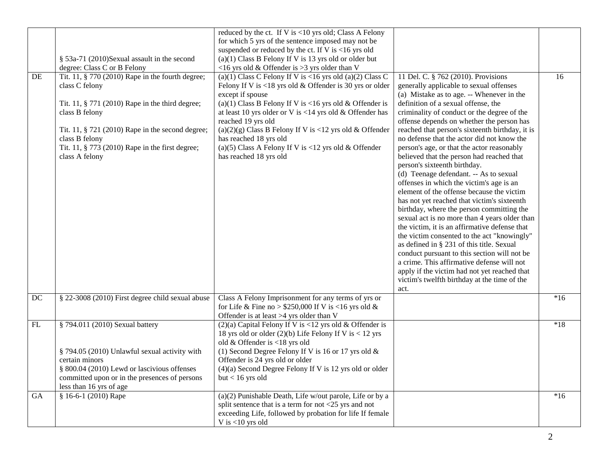|    |                                                                                                                                                                                                                                                                                    | reduced by the ct. If V is <10 yrs old; Class A Felony                                                                                                                                                                                                                                                                                                                                                                                                                      |                                                                                                                                                                                                                                                                                                                                                                                                                                                                                                                                                                                                                                                                                                                                                                                                                                                                                                                                                                                                                                                                                                                       |       |
|----|------------------------------------------------------------------------------------------------------------------------------------------------------------------------------------------------------------------------------------------------------------------------------------|-----------------------------------------------------------------------------------------------------------------------------------------------------------------------------------------------------------------------------------------------------------------------------------------------------------------------------------------------------------------------------------------------------------------------------------------------------------------------------|-----------------------------------------------------------------------------------------------------------------------------------------------------------------------------------------------------------------------------------------------------------------------------------------------------------------------------------------------------------------------------------------------------------------------------------------------------------------------------------------------------------------------------------------------------------------------------------------------------------------------------------------------------------------------------------------------------------------------------------------------------------------------------------------------------------------------------------------------------------------------------------------------------------------------------------------------------------------------------------------------------------------------------------------------------------------------------------------------------------------------|-------|
|    |                                                                                                                                                                                                                                                                                    | for which 5 yrs of the sentence imposed may not be                                                                                                                                                                                                                                                                                                                                                                                                                          |                                                                                                                                                                                                                                                                                                                                                                                                                                                                                                                                                                                                                                                                                                                                                                                                                                                                                                                                                                                                                                                                                                                       |       |
|    | § 53a-71 (2010)Sexual assault in the second                                                                                                                                                                                                                                        | suspended or reduced by the ct. If V is $<16$ yrs old<br>(a)(1) Class B Felony If V is 13 yrs old or older but                                                                                                                                                                                                                                                                                                                                                              |                                                                                                                                                                                                                                                                                                                                                                                                                                                                                                                                                                                                                                                                                                                                                                                                                                                                                                                                                                                                                                                                                                                       |       |
|    | degree: Class C or B Felony                                                                                                                                                                                                                                                        | <16 yrs old & Offender is >3 yrs older than V                                                                                                                                                                                                                                                                                                                                                                                                                               |                                                                                                                                                                                                                                                                                                                                                                                                                                                                                                                                                                                                                                                                                                                                                                                                                                                                                                                                                                                                                                                                                                                       |       |
|    |                                                                                                                                                                                                                                                                                    |                                                                                                                                                                                                                                                                                                                                                                                                                                                                             |                                                                                                                                                                                                                                                                                                                                                                                                                                                                                                                                                                                                                                                                                                                                                                                                                                                                                                                                                                                                                                                                                                                       |       |
| DE | Tit. 11, § 770 (2010) Rape in the fourth degree;<br>class C felony<br>Tit. 11, § 771 (2010) Rape in the third degree;<br>class B felony<br>Tit. 11, § 721 (2010) Rape in the second degree;<br>class B felony<br>Tit. 11, § 773 (2010) Rape in the first degree;<br>class A felony | (a)(1) Class C Felony If V is <16 yrs old $\overline{(a)(2)}$ Class C<br>Felony If V is <18 yrs old & Offender is 30 yrs or older<br>except if spouse<br>(a)(1) Class B Felony If V is <16 yrs old & Offender is<br>at least 10 yrs older or V is <14 yrs old $&$ Offender has<br>reached 19 yrs old<br>(a)(2)(g) Class B Felony If V is <12 yrs old & Offender<br>has reached 18 yrs old<br>(a)(5) Class A Felony If V is <12 yrs old & Offender<br>has reached 18 yrs old | 11 Del. C. § 762 (2010). Provisions<br>generally applicable to sexual offenses<br>(a) Mistake as to age. -- Whenever in the<br>definition of a sexual offense, the<br>criminality of conduct or the degree of the<br>offense depends on whether the person has<br>reached that person's sixteenth birthday, it is<br>no defense that the actor did not know the<br>person's age, or that the actor reasonably<br>believed that the person had reached that<br>person's sixteenth birthday.<br>(d) Teenage defendant. -- As to sexual<br>offenses in which the victim's age is an<br>element of the offense because the victim<br>has not yet reached that victim's sixteenth<br>birthday, where the person committing the<br>sexual act is no more than 4 years older than<br>the victim, it is an affirmative defense that<br>the victim consented to the act "knowingly"<br>as defined in § 231 of this title. Sexual<br>conduct pursuant to this section will not be<br>a crime. This affirmative defense will not<br>apply if the victim had not yet reached that<br>victim's twelfth birthday at the time of the | 16    |
|    |                                                                                                                                                                                                                                                                                    |                                                                                                                                                                                                                                                                                                                                                                                                                                                                             | act.                                                                                                                                                                                                                                                                                                                                                                                                                                                                                                                                                                                                                                                                                                                                                                                                                                                                                                                                                                                                                                                                                                                  |       |
| DC | § 22-3008 (2010) First degree child sexual abuse                                                                                                                                                                                                                                   | Class A Felony Imprisonment for any terms of yrs or<br>for Life & Fine no > \$250,000 If V is <16 yrs old &<br>Offender is at least >4 yrs older than V                                                                                                                                                                                                                                                                                                                     |                                                                                                                                                                                                                                                                                                                                                                                                                                                                                                                                                                                                                                                                                                                                                                                                                                                                                                                                                                                                                                                                                                                       | $*16$ |
| FL | § 794.011 (2010) Sexual battery<br>§ 794.05 (2010) Unlawful sexual activity with<br>certain minors<br>§ 800.04 (2010) Lewd or lascivious offenses<br>committed upon or in the presences of persons<br>less than 16 yrs of age                                                      | $(2)(a)$ Capital Felony If V is <12 yrs old & Offender is<br>18 yrs old or older $(2)(b)$ Life Felony If V is < 12 yrs<br>old & Offender is <18 yrs old<br>(1) Second Degree Felony If V is 16 or 17 yrs old $&$<br>Offender is 24 yrs old or older<br>$(4)(a)$ Second Degree Felony If V is 12 yrs old or older<br>$but < 16$ yrs old                                                                                                                                      |                                                                                                                                                                                                                                                                                                                                                                                                                                                                                                                                                                                                                                                                                                                                                                                                                                                                                                                                                                                                                                                                                                                       | $*18$ |
| GA | § 16-6-1 (2010) Rape                                                                                                                                                                                                                                                               | (a)(2) Punishable Death, Life w/out parole, Life or by a<br>split sentence that is a term for not <25 yrs and not<br>exceeding Life, followed by probation for life If female<br>V is $<$ 10 yrs old                                                                                                                                                                                                                                                                        |                                                                                                                                                                                                                                                                                                                                                                                                                                                                                                                                                                                                                                                                                                                                                                                                                                                                                                                                                                                                                                                                                                                       | $*16$ |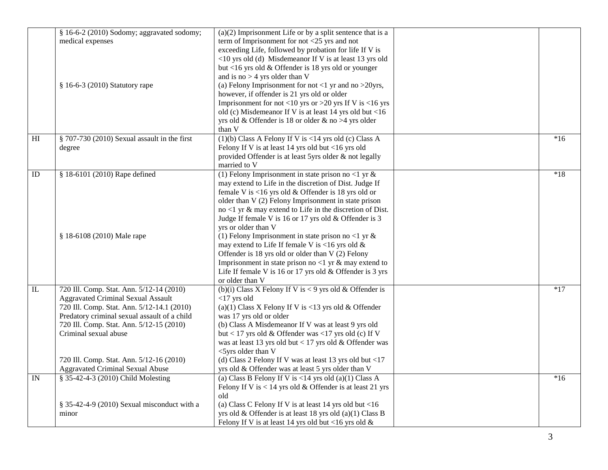|                         | § 16-6-2 (2010) Sodomy; aggravated sodomy;   | $(a)(2)$ Imprisonment Life or by a split sentence that is a              |       |
|-------------------------|----------------------------------------------|--------------------------------------------------------------------------|-------|
|                         | medical expenses                             | term of Imprisonment for not $<$ 25 yrs and not                          |       |
|                         |                                              | exceeding Life, followed by probation for life If V is                   |       |
|                         |                                              | <10 yrs old (d) Misdemeanor If V is at least 13 yrs old                  |       |
|                         |                                              | but <16 yrs old $&$ Offender is 18 yrs old or younger                    |       |
|                         |                                              | and is no $>$ 4 yrs older than V                                         |       |
|                         | § 16-6-3 (2010) Statutory rape               | (a) Felony Imprisonment for not <1 yr and no > 20yrs,                    |       |
|                         |                                              | however, if offender is 21 yrs old or older                              |       |
|                         |                                              | Imprisonment for not <10 yrs or >20 yrs If V is <16 yrs                  |       |
|                         |                                              | old (c) Misdemeanor If V is at least 14 yrs old but <16                  |       |
|                         |                                              | yrs old & Offender is 18 or older & no >4 yrs older                      |       |
|                         |                                              | than V                                                                   |       |
| H                       | § 707-730 (2010) Sexual assault in the first | $(1)(b)$ Class A Felony If V is <14 yrs old (c) Class A                  | $*16$ |
|                         | degree                                       | Felony If V is at least 14 yrs old but <16 yrs old                       |       |
|                         |                                              | provided Offender is at least 5yrs older & not legally                   |       |
|                         |                                              | married to V                                                             |       |
| ID                      | § 18-6101 (2010) Rape defined                | (1) Felony Imprisonment in state prison no <1 yr $\&$                    | $*18$ |
|                         |                                              | may extend to Life in the discretion of Dist. Judge If                   |       |
|                         |                                              | female V is <16 yrs old $&$ Offender is 18 yrs old or                    |       |
|                         |                                              | older than V (2) Felony Imprisonment in state prison                     |       |
|                         |                                              | $no < 1$ yr & may extend to Life in the discretion of Dist.              |       |
|                         |                                              | Judge If female V is 16 or 17 yrs old & Offender is 3                    |       |
|                         |                                              | yrs or older than V                                                      |       |
|                         | § 18-6108 (2010) Male rape                   | (1) Felony Imprisonment in state prison no <1 yr $\&$                    |       |
|                         |                                              | may extend to Life If female V is <16 yrs old &                          |       |
|                         |                                              | Offender is 18 yrs old or older than V (2) Felony                        |       |
|                         |                                              | Imprisonment in state prison no <1 yr $\&$ may extend to                 |       |
|                         |                                              | Life If female V is 16 or 17 yrs old $&$ Offender is 3 yrs               |       |
|                         |                                              | or older than V                                                          |       |
| $\overline{\mathbf{L}}$ | 720 Ill. Comp. Stat. Ann. 5/12-14 (2010)     | (b)(i) Class X Felony If V is < 9 yrs old & Offender is                  | $*17$ |
|                         | <b>Aggravated Criminal Sexual Assault</b>    | $<$ 17 yrs old                                                           |       |
|                         | 720 Ill. Comp. Stat. Ann. 5/12-14.1 (2010)   | (a)(1) Class X Felony If V is <13 yrs old & Offender                     |       |
|                         | Predatory criminal sexual assault of a child | was 17 yrs old or older                                                  |       |
|                         | 720 Ill. Comp. Stat. Ann. 5/12-15 (2010)     | (b) Class A Misdemeanor If V was at least 9 yrs old                      |       |
|                         | Criminal sexual abuse                        | but < 17 yrs old & Offender was <17 yrs old (c) If V                     |       |
|                         |                                              | was at least 13 yrs old but < 17 yrs old & Offender was                  |       |
|                         |                                              | <5yrs older than V                                                       |       |
|                         | 720 Ill. Comp. Stat. Ann. 5/12-16 (2010)     | (d) Class 2 Felony If V was at least 13 yrs old but $\langle 17 \rangle$ |       |
|                         | <b>Aggravated Criminal Sexual Abuse</b>      | yrs old & Offender was at least 5 yrs older than V                       |       |
| $\overline{N}$          | § 35-42-4-3 (2010) Child Molesting           | (a) Class B Felony If V is $\langle 14 \rangle$ yrs old (a)(1) Class A   | $*16$ |
|                         |                                              | Felony If V is $< 14$ yrs old & Offender is at least 21 yrs              |       |
|                         |                                              | old                                                                      |       |
|                         | § 35-42-4-9 (2010) Sexual misconduct with a  | (a) Class C Felony If V is at least 14 yrs old but $<$ 16                |       |
|                         | minor                                        | yrs old & Offender is at least 18 yrs old (a)(1) Class B                 |       |
|                         |                                              | Felony If V is at least 14 yrs old but <16 yrs old $\&$                  |       |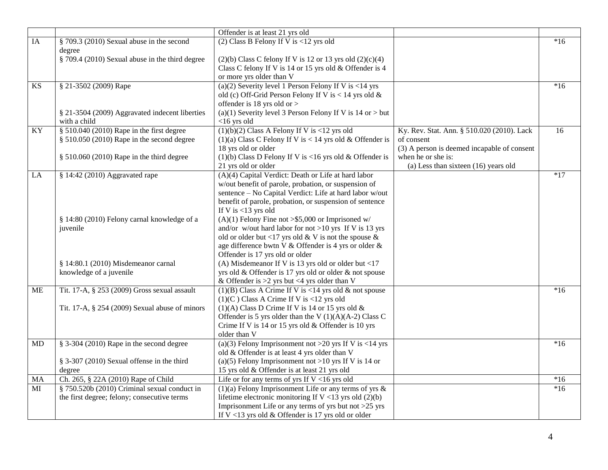|    |                                                           | Offender is at least 21 yrs old                                                                                                                     |                                                          |       |
|----|-----------------------------------------------------------|-----------------------------------------------------------------------------------------------------------------------------------------------------|----------------------------------------------------------|-------|
| IA | § 709.3 (2010) Sexual abuse in the second                 | (2) Class B Felony If V is $<$ 12 yrs old                                                                                                           |                                                          | $*16$ |
|    | degree<br>§ 709.4 (2010) Sexual abuse in the third degree | $(2)(b)$ Class C felony If V is 12 or 13 yrs old $(2)(c)(4)$<br>Class C felony If V is 14 or 15 yrs old & Offender is 4<br>or more yrs older than V |                                                          |       |
| KS | § 21-3502 (2009) Rape                                     | (a)(2) Severity level 1 Person Felony If V is $<$ 14 yrs                                                                                            |                                                          | $*16$ |
|    |                                                           | old (c) Off-Grid Person Felony If V is < 14 yrs old &                                                                                               |                                                          |       |
|    |                                                           | offender is 18 yrs old or $>$                                                                                                                       |                                                          |       |
|    | § 21-3504 (2009) Aggravated indecent liberties            | (a)(1) Severity level 3 Person Felony If V is $14$ or $>$ but                                                                                       |                                                          |       |
|    | with a child                                              | $<$ 16 yrs old                                                                                                                                      |                                                          |       |
| KY | $§ 510.040 (2010)$ Rape in the first degree               | $(1)(b)(2)$ Class A Felony If V is <12 yrs old                                                                                                      | Ky. Rev. Stat. Ann. § 510.020 (2010). Lack<br>of consent | 16    |
|    | $§$ 510.050 (2010) Rape in the second degree              | (1)(a) Class C Felony If V is < 14 yrs old & Offender is<br>18 yrs old or older                                                                     | (3) A person is deemed incapable of consent              |       |
|    | § 510.060 (2010) Rape in the third degree                 | (1)(b) Class D Felony If V is <16 yrs old $&$ Offender is                                                                                           | when he or she is:                                       |       |
|    |                                                           | 21 yrs old or older                                                                                                                                 | (a) Less than sixteen $(16)$ years old                   |       |
| LA | § 14:42 (2010) Aggravated rape                            | (A)(4) Capital Verdict: Death or Life at hard labor                                                                                                 |                                                          | $*17$ |
|    |                                                           | w/out benefit of parole, probation, or suspension of                                                                                                |                                                          |       |
|    |                                                           | sentence - No Capital Verdict: Life at hard labor w/out                                                                                             |                                                          |       |
|    |                                                           | benefit of parole, probation, or suspension of sentence                                                                                             |                                                          |       |
|    |                                                           | If V is $<$ 13 yrs old                                                                                                                              |                                                          |       |
|    | § 14:80 (2010) Felony carnal knowledge of a               | $(A)(1)$ Felony Fine not >\$5,000 or Imprisoned w/                                                                                                  |                                                          |       |
|    | juvenile                                                  | and/or w/out hard labor for not >10 yrs If V is 13 yrs                                                                                              |                                                          |       |
|    |                                                           | old or older but <17 yrs old & V is not the spouse &                                                                                                |                                                          |       |
|    |                                                           | age difference bwtn V & Offender is 4 yrs or older &<br>Offender is 17 yrs old or older                                                             |                                                          |       |
|    | § 14:80.1 (2010) Misdemeanor carnal                       | (A) Misdemeanor If V is 13 yrs old or older but <17                                                                                                 |                                                          |       |
|    | knowledge of a juvenile                                   | yrs old & Offender is 17 yrs old or older & not spouse                                                                                              |                                                          |       |
|    |                                                           | & Offender is $>2$ yrs but <4 yrs older than V                                                                                                      |                                                          |       |
| ME | Tit. 17-A, § 253 (2009) Gross sexual assault              | $(1)(B)$ Class A Crime If V is <14 yrs old & not spouse                                                                                             |                                                          | $*16$ |
|    |                                                           | $(1)(C)$ Class A Crime If V is <12 yrs old                                                                                                          |                                                          |       |
|    | Tit. 17-A, § 254 (2009) Sexual abuse of minors            | $(1)(A)$ Class D Crime If V is 14 or 15 yrs old &                                                                                                   |                                                          |       |
|    |                                                           | Offender is 5 yrs older than the V $(1)(A)(A-2)$ Class C                                                                                            |                                                          |       |
|    |                                                           | Crime If V is 14 or 15 yrs old & Offender is 10 yrs                                                                                                 |                                                          |       |
|    |                                                           | older than V                                                                                                                                        |                                                          |       |
| MD | $§$ 3-304 (2010) Rape in the second degree                | (a)(3) Felony Imprisonment not >20 yrs If V is <14 yrs                                                                                              |                                                          | $*16$ |
|    |                                                           | old & Offender is at least 4 yrs older than V                                                                                                       |                                                          |       |
|    | § 3-307 (2010) Sexual offense in the third<br>degree      | (a)(5) Felony Imprisonment not >10 yrs If V is 14 or<br>15 yrs old & Offender is at least 21 yrs old                                                |                                                          |       |
| MA | Ch. 265, § 22A (2010) Rape of Child                       | Life or for any terms of yrs If $V < 16$ yrs old                                                                                                    |                                                          | $*16$ |
| MI | § 750.520b (2010) Criminal sexual conduct in              | $(1)(a)$ Felony Imprisonment Life or any terms of yrs &                                                                                             |                                                          | $*16$ |
|    | the first degree; felony; consecutive terms               | lifetime electronic monitoring If V <13 yrs old $(2)(b)$                                                                                            |                                                          |       |
|    |                                                           | Imprisonment Life or any terms of yrs but not $>25$ yrs                                                                                             |                                                          |       |
|    |                                                           | If $V < 13$ yrs old & Offender is 17 yrs old or older                                                                                               |                                                          |       |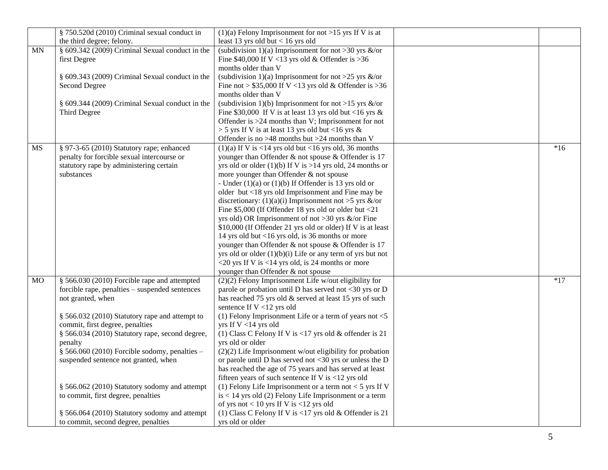|           | § 750.520d (2010) Criminal sexual conduct in    | $(1)(a)$ Felony Imprisonment for not >15 yrs If V is at                                                 |       |
|-----------|-------------------------------------------------|---------------------------------------------------------------------------------------------------------|-------|
|           | the third degree; felony.                       | least 13 yrs old but $< 16$ yrs old                                                                     |       |
| MN        | § 609.342 (2009) Criminal Sexual conduct in the | (subdivision 1)(a) Imprisonment for not >30 yrs $\&$ /or                                                |       |
|           | first Degree                                    | Fine $$40,000$ If V <13 yrs old & Offender is >36                                                       |       |
|           |                                                 | months older than V                                                                                     |       |
|           | § 609.343 (2009) Criminal Sexual conduct in the | (subdivision 1)(a) Imprisonment for not >25 yrs &/or                                                    |       |
|           | Second Degree                                   | Fine not > $$35,000$ If V <13 yrs old & Offender is > 36                                                |       |
|           |                                                 | months older than V                                                                                     |       |
|           | § 609.344 (2009) Criminal Sexual conduct in the | (subdivision 1)(b) Imprisonment for not >15 yrs $\&$ /or                                                |       |
|           | Third Degree                                    | Fine \$30,000 If V is at least 13 yrs old but <16 yrs $\&$                                              |       |
|           |                                                 | Offender is $>24$ months than V; Imprisonment for not                                                   |       |
|           |                                                 | $>$ 5 yrs If V is at least 13 yrs old but <16 yrs &                                                     |       |
|           |                                                 | Offender is no $>48$ months but $>24$ months than V                                                     |       |
| MS        | § 97-3-65 (2010) Statutory rape; enhanced       | $(1)(a)$ If V is <14 yrs old but <16 yrs old, 36 months                                                 | $*16$ |
|           | penalty for forcible sexual intercourse or      | younger than Offender & not spouse & Offender is 17                                                     |       |
|           | statutory rape by administering certain         | yrs old or older (1)(b) If V is >14 yrs old, 24 months or                                               |       |
|           | substances                                      | more younger than Offender & not spouse                                                                 |       |
|           |                                                 | - Under $(1)(a)$ or $(1)(b)$ If Offender is 13 yrs old or                                               |       |
|           |                                                 | older but <18 yrs old Imprisonment and Fine may be                                                      |       |
|           |                                                 | discretionary: (1)(a)(i) Imprisonment not >5 yrs &/or                                                   |       |
|           |                                                 | Fine \$5,000 (If Offender 18 yrs old or older but <21                                                   |       |
|           |                                                 | yrs old) OR Imprisonment of not >30 yrs $\&$ /or Fine                                                   |       |
|           |                                                 | \$10,000 (If Offender 21 yrs old or older) If V is at least                                             |       |
|           |                                                 | 14 yrs old but <16 yrs old, is 36 months or more                                                        |       |
|           |                                                 | younger than Offender & not spouse & Offender is 17                                                     |       |
|           |                                                 | yrs old or older $(1)(b)(i)$ Life or any term of yrs but not                                            |       |
|           |                                                 | <20 yrs If V is <14 yrs old, is 24 months or more                                                       |       |
|           |                                                 | younger than Offender & not spouse                                                                      |       |
| <b>MO</b> | § 566.030 (2010) Forcible rape and attempted    | $(2)(2)$ Felony Imprisonment Life w/out eligibility for                                                 | $*17$ |
|           | forcible rape, penalties - suspended sentences  | parole or probation until D has served not <30 yrs or D                                                 |       |
|           | not granted, when                               | has reached 75 yrs old & served at least 15 yrs of such                                                 |       |
|           |                                                 | sentence If V <12 yrs old                                                                               |       |
|           | § 566.032 (2010) Statutory rape and attempt to  | (1) Felony Imprisonment Life or a term of years not $<$ 5                                               |       |
|           | commit, first degree, penalties                 | yrs If V <14 yrs old                                                                                    |       |
|           | § 566.034 (2010) Statutory rape, second degree, | (1) Class C Felony If V is <17 yrs old & offender is 21                                                 |       |
|           | penalty                                         | yrs old or older                                                                                        |       |
|           | $§$ 566.060 (2010) Forcible sodomy, penalties - | $(2)(2)$ Life Imprisonment w/out eligibility for probation                                              |       |
|           | suspended sentence not granted, when            | or parole until D has served not <30 yrs or unless the D                                                |       |
|           |                                                 | has reached the age of 75 years and has served at least                                                 |       |
|           | § 566.062 (2010) Statutory sodomy and attempt   | fifteen years of such sentence If V is $\langle 12 \rangle$ yrs old                                     |       |
|           |                                                 | (1) Felony Life Imprisonment or a term not $<$ 5 yrs If V                                               |       |
|           | to commit, first degree, penalties              | is < 14 yrs old (2) Felony Life Imprisonment or a term                                                  |       |
|           | § 566.064 (2010) Statutory sodomy and attempt   | of yrs not $< 10$ yrs If V is $< 12$ yrs old<br>(1) Class C Felony If V is <17 yrs old & Offender is 21 |       |
|           | to commit, second degree, penalties             | yrs old or older                                                                                        |       |
|           |                                                 |                                                                                                         |       |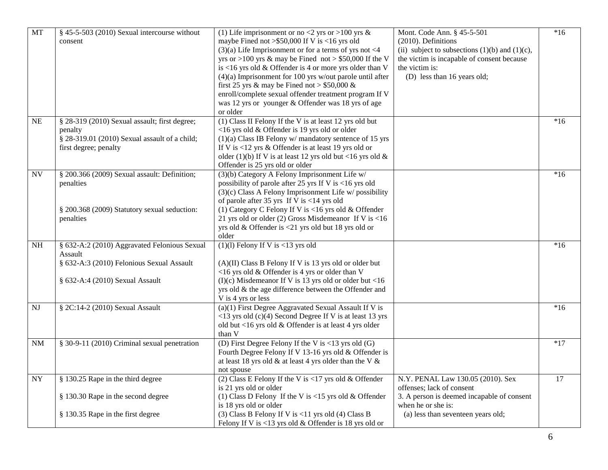| MT                       | § 45-5-503 (2010) Sexual intercourse without  | (1) Life imprisonment or no <2 yrs or >100 yrs &                     | Mont. Code Ann. § 45-5-501                          | $*16$ |
|--------------------------|-----------------------------------------------|----------------------------------------------------------------------|-----------------------------------------------------|-------|
|                          | consent                                       | maybe Fined not > \$50,000 If V is <16 yrs old                       | (2010). Definitions                                 |       |
|                          |                                               | $(3)(a)$ Life Imprisonment or for a terms of yrs not <4              | (ii) subject to subsections $(1)(b)$ and $(1)(c)$ , |       |
|                          |                                               | yrs or >100 yrs & may be Fined not > \$50,000 If the V               | the victim is incapable of consent because          |       |
|                          |                                               | is <16 yrs old $&$ Offender is 4 or more yrs older than V            | the victim is:                                      |       |
|                          |                                               | $(4)(a)$ Imprisonment for 100 yrs w/out parole until after           | (D) less than 16 years old;                         |       |
|                          |                                               | first 25 yrs & may be Fined not > $$50,000$ &                        |                                                     |       |
|                          |                                               | enroll/complete sexual offender treatment program If V               |                                                     |       |
|                          |                                               | was 12 yrs or younger & Offender was 18 yrs of age                   |                                                     |       |
|                          |                                               | or older                                                             |                                                     |       |
| NE                       | § 28-319 (2010) Sexual assault; first degree; | (1) Class II Felony If the V is at least 12 yrs old but              |                                                     | $*16$ |
|                          | penalty                                       | <16 yrs old & Offender is 19 yrs old or older                        |                                                     |       |
|                          | § 28-319.01 (2010) Sexual assault of a child; | $(1)(a)$ Class IB Felony w/ mandatory sentence of 15 yrs             |                                                     |       |
|                          | first degree; penalty                         | If V is $<$ 12 yrs & Offender is at least 19 yrs old or              |                                                     |       |
|                          |                                               | older (1)(b) If V is at least 12 yrs old but <16 yrs old $\&$        |                                                     |       |
|                          |                                               | Offender is 25 yrs old or older                                      |                                                     |       |
| $\ensuremath{\text{NV}}$ | § 200.366 (2009) Sexual assault: Definition;  | (3)(b) Category A Felony Imprisonment Life w/                        |                                                     | $*16$ |
|                          | penalties                                     | possibility of parole after 25 yrs If V is <16 yrs old               |                                                     |       |
|                          |                                               | $(3)(c)$ Class A Felony Imprisonment Life w/possibility              |                                                     |       |
|                          |                                               | of parole after 35 yrs If V is $<$ 14 yrs old                        |                                                     |       |
|                          | § 200.368 (2009) Statutory sexual seduction:  | (1) Category C Felony If V is <16 yrs old & Offender                 |                                                     |       |
|                          | penalties                                     | 21 yrs old or older (2) Gross Misdemeanor If V is $<$ 16             |                                                     |       |
|                          |                                               | yrs old & Offender is <21 yrs old but 18 yrs old or                  |                                                     |       |
|                          |                                               | older                                                                |                                                     |       |
| NH                       | § 632-A:2 (2010) Aggravated Felonious Sexual  | $(1)(1)$ Felony If V is <13 yrs old                                  |                                                     | $*16$ |
|                          | Assault                                       |                                                                      |                                                     |       |
|                          | § 632-A:3 (2010) Felonious Sexual Assault     | (A)(II) Class B Felony If V is 13 yrs old or older but               |                                                     |       |
|                          |                                               | <16 yrs old & Offender is 4 yrs or older than V                      |                                                     |       |
|                          | § 632-A:4 (2010) Sexual Assault               | (I)(c) Misdemeanor If V is 13 yrs old or older but <16               |                                                     |       |
|                          |                                               | yrs old & the age difference between the Offender and                |                                                     |       |
|                          |                                               | V is 4 yrs or less                                                   |                                                     |       |
| NJ                       | § 2C:14-2 (2010) Sexual Assault               | (a)(1) First Degree Aggravated Sexual Assault If V is                |                                                     | $*16$ |
|                          |                                               | $<$ 13 yrs old (c)(4) Second Degree If V is at least 13 yrs          |                                                     |       |
|                          |                                               | old but <16 yrs old & Offender is at least 4 yrs older               |                                                     |       |
|                          |                                               | than V                                                               |                                                     |       |
| <b>NM</b>                | § 30-9-11 (2010) Criminal sexual penetration  | (D) First Degree Felony If the V is $\langle 13 \rangle$ yrs old (G) |                                                     | $*17$ |
|                          |                                               | Fourth Degree Felony If V 13-16 yrs old & Offender is                |                                                     |       |
|                          |                                               | at least 18 yrs old & at least 4 yrs older than the V $\&$           |                                                     |       |
|                          |                                               | not spouse                                                           |                                                     |       |
| <b>NY</b>                | § 130.25 Rape in the third degree             | (2) Class E Felony If the V is <17 yrs old $&$ Offender              | N.Y. PENAL Law 130.05 (2010). Sex                   | 17    |
|                          |                                               | is 21 yrs old or older                                               | offenses; lack of consent                           |       |
|                          | § 130.30 Rape in the second degree            | (1) Class D Felony If the V is <15 yrs old & Offender                | 3. A person is deemed incapable of consent          |       |
|                          |                                               | is 18 yrs old or older                                               | when he or she is:                                  |       |
|                          | § 130.35 Rape in the first degree             | (3) Class B Felony If V is $<$ 11 yrs old (4) Class B                | (a) less than seventeen years old;                  |       |
|                          |                                               | Felony If V is <13 yrs old & Offender is 18 yrs old or               |                                                     |       |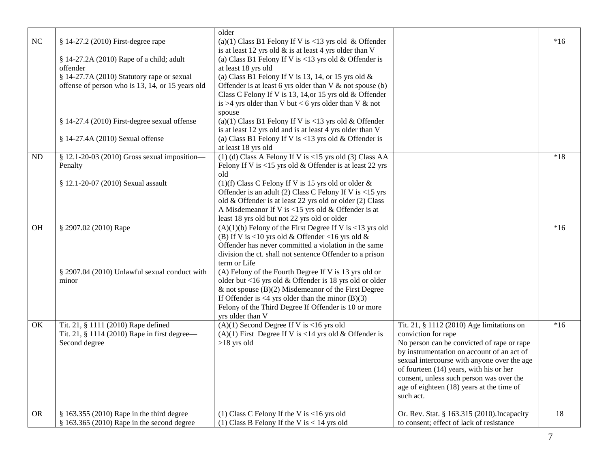|           |                                                                                                      | older                                                                                                                                                                                                                                                                                                                       |                                                                                                                                                                                                                                                                                                                                                              |       |
|-----------|------------------------------------------------------------------------------------------------------|-----------------------------------------------------------------------------------------------------------------------------------------------------------------------------------------------------------------------------------------------------------------------------------------------------------------------------|--------------------------------------------------------------------------------------------------------------------------------------------------------------------------------------------------------------------------------------------------------------------------------------------------------------------------------------------------------------|-------|
| NC        | § 14-27.2 (2010) First-degree rape<br>§ 14-27.2A (2010) Rape of a child; adult<br>offender           | (a)(1) Class B1 Felony If V is <13 yrs old & Offender<br>is at least 12 yrs old $\&$ is at least 4 yrs older than V<br>(a) Class B1 Felony If V is $< 13$ yrs old & Offender is<br>at least 18 yrs old                                                                                                                      |                                                                                                                                                                                                                                                                                                                                                              | $*16$ |
|           | § 14-27.7A (2010) Statutory rape or sexual<br>offense of person who is 13, 14, or 15 years old       | (a) Class B1 Felony If V is 13, 14, or 15 yrs old $\&$<br>Offender is at least 6 yrs older than $V$ & not spouse (b)<br>Class C Felony If V is 13, 14, or 15 yrs old & Offender<br>is >4 yrs older than V but < 6 yrs older than V $\&$ not<br>spouse                                                                       |                                                                                                                                                                                                                                                                                                                                                              |       |
|           | § 14-27.4 (2010) First-degree sexual offense                                                         | (a)(1) Class B1 Felony If V is <13 yrs old & Offender<br>is at least 12 yrs old and is at least 4 yrs older than V                                                                                                                                                                                                          |                                                                                                                                                                                                                                                                                                                                                              |       |
|           | § 14-27.4A (2010) Sexual offense                                                                     | (a) Class B1 Felony If V is <13 yrs old $&$ Offender is<br>at least 18 yrs old                                                                                                                                                                                                                                              |                                                                                                                                                                                                                                                                                                                                                              |       |
| ND        | § 12.1-20-03 (2010) Gross sexual imposition-<br>Penalty                                              | $(1)$ (d) Class A Felony If V is <15 yrs old (3) Class AA<br>Felony If V is $< 15$ yrs old & Offender is at least 22 yrs<br>old                                                                                                                                                                                             |                                                                                                                                                                                                                                                                                                                                                              | $*18$ |
|           | § 12.1-20-07 (2010) Sexual assault                                                                   | $(1)(f)$ Class C Felony If V is 15 yrs old or older &<br>Offender is an adult (2) Class C Felony If V is <15 yrs<br>old & Offender is at least 22 yrs old or older (2) Class<br>A Misdemeanor If V is $<$ 15 yrs old & Offender is at<br>least 18 yrs old but not 22 yrs old or older                                       |                                                                                                                                                                                                                                                                                                                                                              |       |
| OH        | § 2907.02 (2010) Rape                                                                                | $(A)(1)(b)$ Felony of the First Degree If V is <13 yrs old<br>(B) If V is <10 yrs old & Offender <16 yrs old &<br>Offender has never committed a violation in the same<br>division the ct. shall not sentence Offender to a prison<br>term or Life                                                                          |                                                                                                                                                                                                                                                                                                                                                              | $*16$ |
|           | § 2907.04 (2010) Unlawful sexual conduct with<br>minor                                               | (A) Felony of the Fourth Degree If V is 13 yrs old or<br>older but <16 yrs old & Offender is 18 yrs old or older<br>& not spouse $(B)(2)$ Misdemeanor of the First Degree<br>If Offender is $\langle 4 \rangle$ yrs older than the minor (B)(3)<br>Felony of the Third Degree If Offender is 10 or more<br>yrs older than V |                                                                                                                                                                                                                                                                                                                                                              |       |
| OK        | Tit. 21, § 1111 (2010) Rape defined<br>Tit. 21, § 1114 (2010) Rape in first degree-<br>Second degree | $(A)(1)$ Second Degree If V is <16 yrs old<br>(A)(1) First Degree If V is <14 yrs old & Offender is<br>$>18$ yrs old                                                                                                                                                                                                        | Tit. 21, § 1112 (2010) Age limitations on<br>conviction for rape<br>No person can be convicted of rape or rape<br>by instrumentation on account of an act of<br>sexual intercourse with anyone over the age<br>of fourteen (14) years, with his or her<br>consent, unless such person was over the<br>age of eighteen (18) years at the time of<br>such act. | $*16$ |
| <b>OR</b> | § 163.355 (2010) Rape in the third degree<br>$§$ 163.365 (2010) Rape in the second degree            | (1) Class C Felony If the V is $<$ 16 yrs old<br>(1) Class B Felony If the V is $< 14$ yrs old                                                                                                                                                                                                                              | Or. Rev. Stat. § 163.315 (2010). Incapacity<br>to consent; effect of lack of resistance                                                                                                                                                                                                                                                                      | 18    |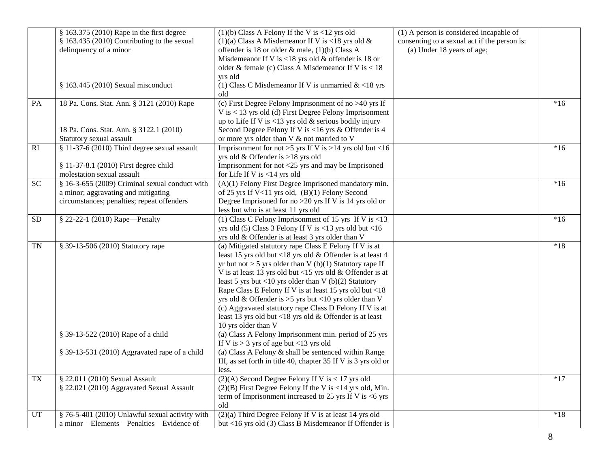|                  | § 163.375 (2010) Rape in the first degree       | $(1)(b)$ Class A Felony If the V is <12 yrs old                | (1) A person is considered incapable of      |       |
|------------------|-------------------------------------------------|----------------------------------------------------------------|----------------------------------------------|-------|
|                  | $§$ 163.435 (2010) Contributing to the sexual   | (1)(a) Class A Misdemeanor If V is <18 yrs old $\&$            | consenting to a sexual act if the person is: |       |
|                  | delinquency of a minor                          | offender is 18 or older & male, (1)(b) Class A                 | (a) Under 18 years of age;                   |       |
|                  |                                                 | Misdemeanor If V is <18 yrs old $&$ offender is 18 or          |                                              |       |
|                  |                                                 | older & female (c) Class A Misdemeanor If V is $<$ 18          |                                              |       |
|                  |                                                 | yrs old                                                        |                                              |       |
|                  | § 163.445 (2010) Sexual misconduct              | (1) Class C Misdemeanor If V is unmarried $<18$ yrs            |                                              |       |
|                  |                                                 | old                                                            |                                              |       |
| PA               | 18 Pa. Cons. Stat. Ann. § 3121 (2010) Rape      | (c) First Degree Felony Imprisonment of no $>40$ yrs If        |                                              | $*16$ |
|                  |                                                 | V is < 13 yrs old (d) First Degree Felony Imprisonment         |                                              |       |
|                  |                                                 | up to Life If V is $<$ 13 yrs old & serious bodily injury      |                                              |       |
|                  | 18 Pa. Cons. Stat. Ann. § 3122.1 (2010)         | Second Degree Felony If V is <16 yrs & Offender is 4           |                                              |       |
|                  | Statutory sexual assault                        | or more yrs older than V & not married to V                    |                                              |       |
| RI               | $§$ 11-37-6 (2010) Third degree sexual assault  | Imprisonment for not >5 yrs If V is >14 yrs old but <16        |                                              | $*16$ |
|                  |                                                 | yrs old & Offender is >18 yrs old                              |                                              |       |
|                  | § 11-37-8.1 (2010) First degree child           | Imprisonment for not <25 yrs and may be Imprisoned             |                                              |       |
|                  | molestation sexual assault                      | for Life If V is $<$ 14 yrs old                                |                                              |       |
| SC               | § 16-3-655 (2009) Criminal sexual conduct with  | $(A)(1)$ Felony First Degree Imprisoned mandatory min.         |                                              | $*16$ |
|                  | a minor; aggravating and mitigating             | of 25 yrs If V<11 yrs old, (B)(1) Felony Second                |                                              |       |
|                  | circumstances; penalties; repeat offenders      | Degree Imprisoned for no $>20$ yrs If V is 14 yrs old or       |                                              |       |
|                  |                                                 | less but who is at least 11 yrs old                            |                                              |       |
| <b>SD</b>        | § 22-22-1 (2010) Rape-Penalty                   | (1) Class C Felony Imprisonment of 15 yrs If V is $<$ 13       |                                              | $*16$ |
|                  |                                                 | yrs old $(5)$ Class 3 Felony If V is <13 yrs old but <16       |                                              |       |
|                  |                                                 | yrs old & Offender is at least 3 yrs older than V              |                                              |       |
| <b>TN</b>        | § 39-13-506 (2010) Statutory rape               | (a) Mitigated statutory rape Class E Felony If V is at         |                                              | $*18$ |
|                  |                                                 | least 15 yrs old but <18 yrs old & Offender is at least 4      |                                              |       |
|                  |                                                 | yr but not > 5 yrs older than V (b)(1) Statutory rape If       |                                              |       |
|                  |                                                 | V is at least 13 yrs old but <15 yrs old & Offender is at      |                                              |       |
|                  |                                                 | least 5 yrs but <10 yrs older than V (b)(2) Statutory          |                                              |       |
|                  |                                                 | Rape Class E Felony If V is at least 15 yrs old but <18        |                                              |       |
|                  |                                                 | yrs old & Offender is $>5$ yrs but <10 yrs older than V        |                                              |       |
|                  |                                                 | (c) Aggravated statutory rape Class D Felony If V is at        |                                              |       |
|                  |                                                 | least 13 yrs old but <18 yrs old & Offender is at least        |                                              |       |
|                  |                                                 | 10 yrs older than V                                            |                                              |       |
|                  | § 39-13-522 (2010) Rape of a child              | (a) Class A Felony Imprisonment min. period of 25 yrs          |                                              |       |
|                  |                                                 | If V is $>$ 3 yrs of age but <13 yrs old                       |                                              |       |
|                  | § 39-13-531 (2010) Aggravated rape of a child   | (a) Class A Felony & shall be sentenced within Range           |                                              |       |
|                  |                                                 | III, as set forth in title 40, chapter 35 If V is 3 yrs old or |                                              |       |
|                  |                                                 | less.                                                          |                                              |       |
| ${\rm T}{\rm X}$ | § 22.011 (2010) Sexual Assault                  | $(2)(A)$ Second Degree Felony If V is < 17 yrs old             |                                              | $*17$ |
|                  | § 22.021 (2010) Aggravated Sexual Assault       | $(2)(B)$ First Degree Felony If the V is <14 yrs old, Min.     |                                              |       |
|                  |                                                 | term of Imprisonment increased to 25 yrs If V is $<6$ yrs      |                                              |       |
|                  |                                                 | old                                                            |                                              |       |
| UT               | § 76-5-401 (2010) Unlawful sexual activity with | $(2)(a)$ Third Degree Felony If V is at least 14 yrs old       |                                              | $*18$ |
|                  | a minor - Elements - Penalties - Evidence of    | but <16 yrs old (3) Class B Misdemeanor If Offender is         |                                              |       |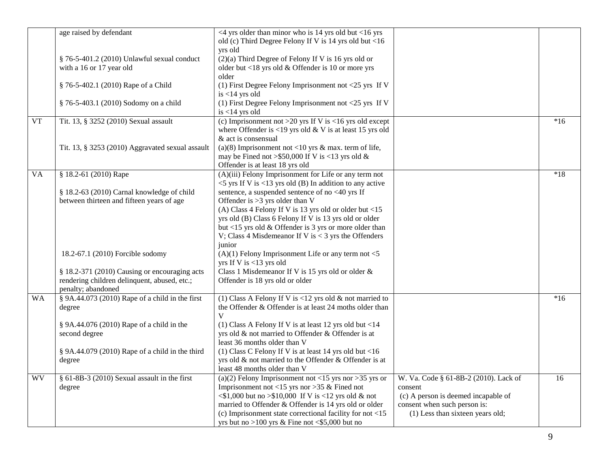|           | age raised by defendant                           | $\leq$ 4 yrs older than minor who is 14 yrs old but $\leq$ 16 yrs                               |                                       |       |
|-----------|---------------------------------------------------|-------------------------------------------------------------------------------------------------|---------------------------------------|-------|
|           |                                                   | old (c) Third Degree Felony If V is 14 yrs old but <16                                          |                                       |       |
|           |                                                   | yrs old                                                                                         |                                       |       |
|           | § 76-5-401.2 (2010) Unlawful sexual conduct       | $(2)(a)$ Third Degree of Felony If V is 16 yrs old or                                           |                                       |       |
|           | with a 16 or 17 year old                          | older but <18 yrs old & Offender is 10 or more yrs                                              |                                       |       |
|           |                                                   | older                                                                                           |                                       |       |
|           | § 76-5-402.1 (2010) Rape of a Child               | (1) First Degree Felony Imprisonment not $<$ 25 yrs If V                                        |                                       |       |
|           |                                                   | is $<$ 14 yrs old                                                                               |                                       |       |
|           | § 76-5-403.1 (2010) Sodomy on a child             | (1) First Degree Felony Imprisonment not <25 yrs If V                                           |                                       |       |
|           |                                                   | is $<$ 14 yrs old                                                                               |                                       |       |
| <b>VT</b> | Tit. 13, § 3252 (2010) Sexual assault             | (c) Imprisonment not >20 yrs If V is <16 yrs old except                                         |                                       | $*16$ |
|           |                                                   | where Offender is <19 yrs old $&$ V is at least 15 yrs old                                      |                                       |       |
|           |                                                   | & act is consensual                                                                             |                                       |       |
|           | Tit. 13, § 3253 (2010) Aggravated sexual assault  | (a)(8) Imprisonment not <10 yrs & max. term of life,                                            |                                       |       |
|           |                                                   | may be Fined not > \$50,000 If V is <13 yrs old &                                               |                                       |       |
|           |                                                   | Offender is at least 18 yrs old                                                                 |                                       |       |
| <b>VA</b> | § 18.2-61 (2010) Rape                             | (A)(iii) Felony Imprisonment for Life or any term not                                           |                                       | $*18$ |
|           |                                                   | $<$ 5 yrs If V is $<$ 13 yrs old (B) In addition to any active                                  |                                       |       |
|           | § 18.2-63 (2010) Carnal knowledge of child        | sentence, a suspended sentence of no <40 yrs If                                                 |                                       |       |
|           | between thirteen and fifteen years of age         | Offender is $>3$ yrs older than V                                                               |                                       |       |
|           |                                                   | (A) Class 4 Felony If V is 13 yrs old or older but <15                                          |                                       |       |
|           |                                                   | yrs old (B) Class 6 Felony If V is 13 yrs old or older                                          |                                       |       |
|           |                                                   | but <15 yrs old $&$ Offender is 3 yrs or more older than                                        |                                       |       |
|           |                                                   | V; Class 4 Misdemeanor If V is $<$ 3 yrs the Offenders                                          |                                       |       |
|           |                                                   | junior                                                                                          |                                       |       |
|           | 18.2-67.1 (2010) Forcible sodomy                  | $(A)(1)$ Felony Imprisonment Life or any term not <5                                            |                                       |       |
|           |                                                   | yrs If V is <13 yrs old                                                                         |                                       |       |
|           | § 18.2-371 (2010) Causing or encouraging acts     | Class 1 Misdemeanor If V is 15 yrs old or older &                                               |                                       |       |
|           | rendering children delinquent, abused, etc.;      | Offender is 18 yrs old or older                                                                 |                                       |       |
|           | penalty; abandoned                                |                                                                                                 |                                       |       |
| <b>WA</b> | $§$ 9A.44.073 (2010) Rape of a child in the first | (1) Class A Felony If V is <12 yrs old $\&$ not married to                                      |                                       | $*16$ |
|           | degree                                            | the Offender & Offender is at least 24 moths older than                                         |                                       |       |
|           |                                                   | V                                                                                               |                                       |       |
|           | § 9A.44.076 (2010) Rape of a child in the         | (1) Class A Felony If V is at least 12 yrs old but $<$ 14                                       |                                       |       |
|           | second degree                                     | yrs old & not married to Offender & Offender is at                                              |                                       |       |
|           |                                                   | least 36 months older than V                                                                    |                                       |       |
|           | § 9A.44.079 (2010) Rape of a child in the third   | (1) Class C Felony If V is at least 14 yrs old but <16                                          |                                       |       |
|           | degree                                            | yrs old & not married to the Offender & Offender is at                                          |                                       |       |
|           |                                                   | least 48 months older than V                                                                    |                                       |       |
| <b>WV</b> | $§ 61-8B-3 (2010)$ Sexual assault in the first    | (a)(2) Felony Imprisonment not <15 yrs nor >35 yrs or                                           | W. Va. Code § 61-8B-2 (2010). Lack of | 16    |
|           | degree                                            | Imprisonment not <15 yrs nor >35 & Fined not                                                    | consent                               |       |
|           |                                                   | $\langle $1,000 \text{ but no } $10,000 \text{ If V is } < 12 \text{ yrs old } \& \text{ not }$ | (c) A person is deemed incapable of   |       |
|           |                                                   | married to Offender & Offender is 14 yrs old or older                                           | consent when such person is:          |       |
|           |                                                   | (c) Imprisonment state correctional facility for not $<$ 15                                     | (1) Less than sixteen years old;      |       |
|           |                                                   | yrs but no >100 yrs & Fine not <\$5,000 but no                                                  |                                       |       |